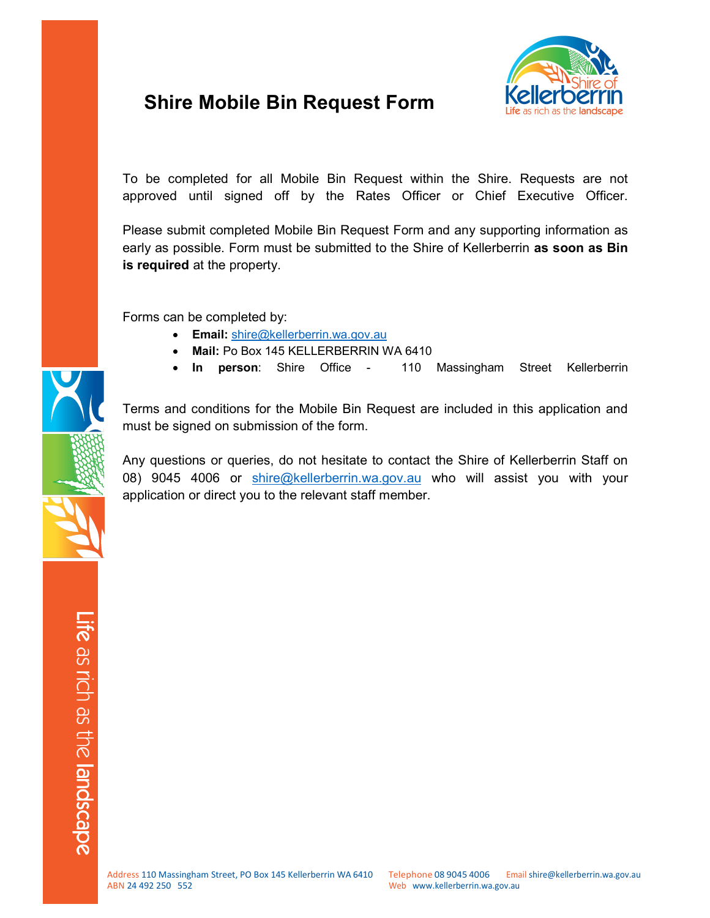# Shire Mobile Bin Request Form



To be completed for all Mobile Bin Request within the Shire. Requests are not approved until signed off by the Rates Officer or Chief Executive Officer.

Please submit completed Mobile Bin Request Form and any supporting information as early as possible. Form must be submitted to the Shire of Kellerberrin as soon as Bin is required at the property.

Forms can be completed by:

- **Email:** shire@kellerberrin.wa.gov.au
- Mail: Po Box 145 KELLERBERRIN WA 6410
- In person: Shire Office 110 Massingham Street Kellerberrin

Terms and conditions for the Mobile Bin Request are included in this application and must be signed on submission of the form.

Any questions or queries, do not hesitate to contact the Shire of Kellerberrin Staff on 08) 9045 4006 or shire@kellerberrin.wa.gov.au who will assist you with your application or direct you to the relevant staff member.

Life as rich as the landsca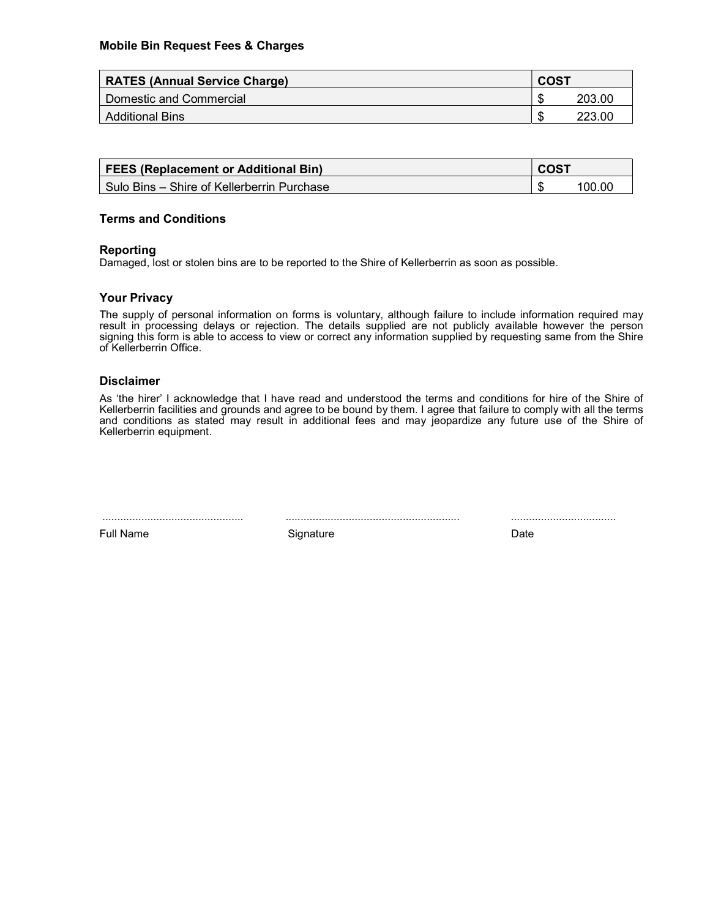| <b>RATES (Annual Service Charge)</b> |    | COST   |  |
|--------------------------------------|----|--------|--|
| Domestic and Commercial              |    | 203.00 |  |
| <b>Additional Bins</b>               | ۰D | 223.00 |  |

| <b>FEES (Replacement or Additional Bin)</b>  |  | <b>COST</b> |  |
|----------------------------------------------|--|-------------|--|
| l Sulo Bins – Shire of Kellerberrin Purchase |  |             |  |

#### Terms and Conditions

#### Reporting

Damaged, lost or stolen bins are to be reported to the Shire of Kellerberrin as soon as possible.

#### Your Privacy

The supply of personal information on forms is voluntary, although failure to include information required may result in processing delays or rejection. The details supplied are not publicly available however the person signing this form is able to access to view or correct any information supplied by requesting same from the Shire of Kellerberrin Office.

#### Disclaimer

As 'the hirer' I acknowledge that I have read and understood the terms and conditions for hire of the Shire of Kellerberrin facilities and grounds and agree to be bound by them. I agree that failure to comply with all the terms and conditions as stated may result in additional fees and may jeopardize any future use of the Shire of Kellerberrin equipment.

............................................... .......................................................... ...................................

Full Name **Signature Contact Signature Contact Contact Contact Contact Contact Contact Contact Contact Contact Contact Contact Contact Contact Contact Contact Contact Contact Contact Contact Contact Contact Contact Con**